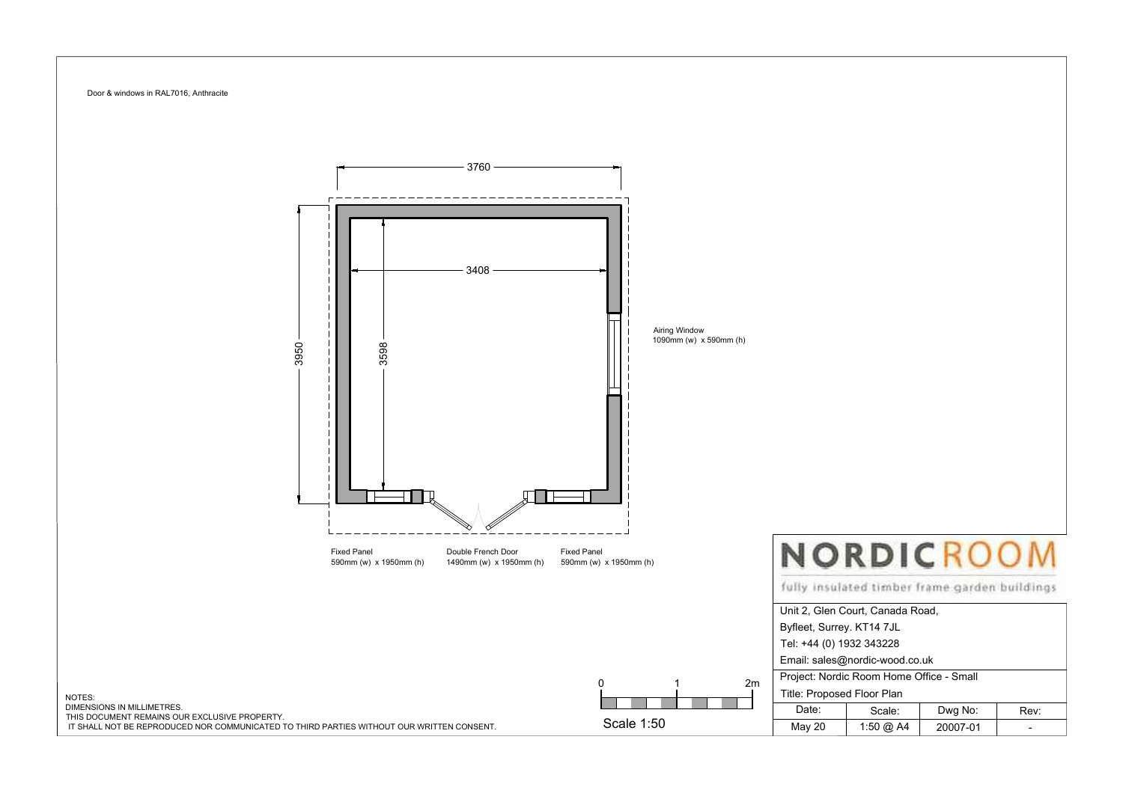

NOTES:

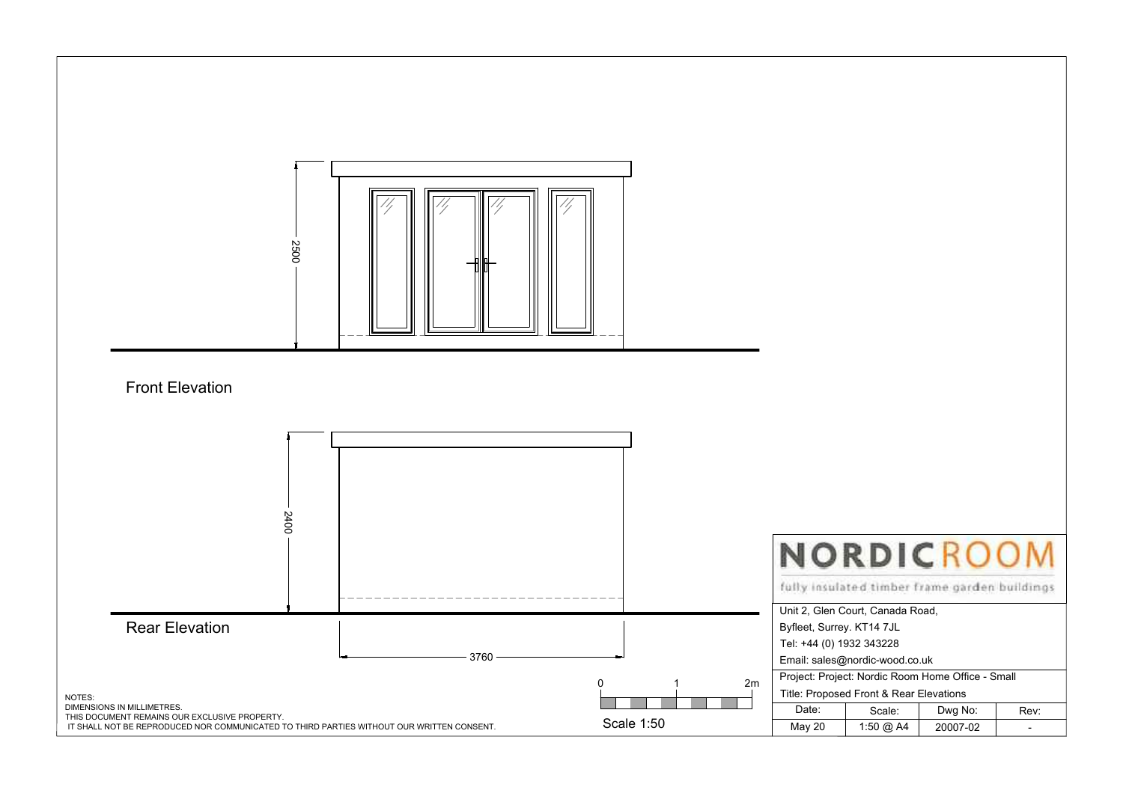